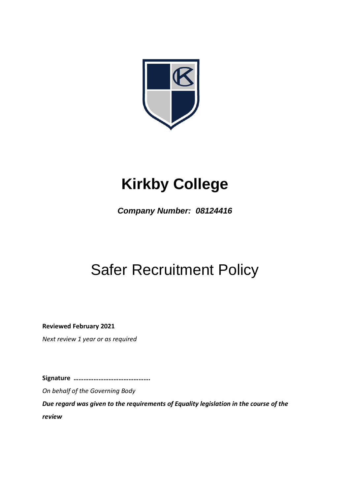

# **Kirkby College**

*Company Number: 08124416*

## Safer Recruitment Policy

**Reviewed February 2021**

*Next review 1 year or as required*

**Signature ……………………………………….**

*On behalf of the Governing Body*

*Due regard was given to the requirements of Equality legislation in the course of the review*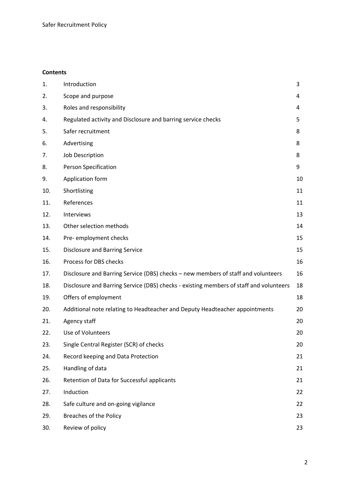## **Contents**

| 1.  | Introduction                                                                           | 3  |
|-----|----------------------------------------------------------------------------------------|----|
| 2.  | Scope and purpose                                                                      | 4  |
| 3.  | Roles and responsibility                                                               | 4  |
| 4.  | Regulated activity and Disclosure and barring service checks                           | 5  |
| 5.  | Safer recruitment                                                                      | 8  |
| 6.  | Advertising                                                                            | 8  |
| 7.  | Job Description                                                                        | 8  |
| 8.  | <b>Person Specification</b>                                                            | 9  |
| 9.  | Application form                                                                       | 10 |
| 10. | Shortlisting                                                                           | 11 |
| 11. | References                                                                             | 11 |
| 12. | Interviews                                                                             | 13 |
| 13. | Other selection methods                                                                | 14 |
| 14. | Pre- employment checks                                                                 | 15 |
| 15. | <b>Disclosure and Barring Service</b>                                                  | 15 |
| 16. | Process for DBS checks                                                                 | 16 |
| 17. | Disclosure and Barring Service (DBS) checks - new members of staff and volunteers      | 16 |
| 18. | Disclosure and Barring Service (DBS) checks - existing members of staff and volunteers | 18 |
| 19. | Offers of employment                                                                   | 18 |
| 20. | Additional note relating to Headteacher and Deputy Headteacher appointments            | 20 |
| 21. | Agency staff                                                                           | 20 |
| 22. | Use of Volunteers                                                                      | 20 |
| 23. | Single Central Register (SCR) of checks                                                | 20 |
| 24. | Record keeping and Data Protection                                                     | 21 |
| 25. | Handling of data                                                                       | 21 |
| 26. | Retention of Data for Successful applicants                                            | 21 |
| 27. | Induction                                                                              | 22 |
| 28. | Safe culture and on-going vigilance                                                    | 22 |
| 29. | <b>Breaches of the Policy</b>                                                          | 23 |
| 30. | Review of policy                                                                       | 23 |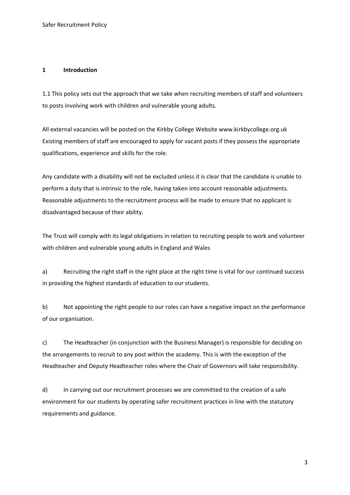#### **1 Introduction**

1.1 This policy sets out the approach that we take when recruiting members of staff and volunteers to posts involving work with children and vulnerable young adults.

All external vacancies will be posted on the Kirkby College Website www.kirkbycollege.org.uk Existing members of staff are encouraged to apply for vacant posts if they possess the appropriate qualifications, experience and skills for the role.

Any candidate with a disability will not be excluded unless it is clear that the candidate is unable to perform a duty that is intrinsic to the role, having taken into account reasonable adjustments. Reasonable adjustments to the recruitment process will be made to ensure that no applicant is disadvantaged because of their ability.

The Trust will comply with its legal obligations in relation to recruiting people to work and volunteer with children and vulnerable young adults in England and Wales

a) Recruiting the right staff in the right place at the right time is vital for our continued success in providing the highest standards of education to our students.

b) Not appointing the right people to our roles can have a negative impact on the performance of our organisation.

c) The Headteacher (in conjunction with the Business Manager) is responsible for deciding on the arrangements to recruit to any post within the academy. This is with the exception of the Headteacher and Deputy Headteacher roles where the Chair of Governors will take responsibility.

d) In carrying out our recruitment processes we are committed to the creation of a safe environment for our students by operating safer recruitment practices in line with the statutory requirements and guidance.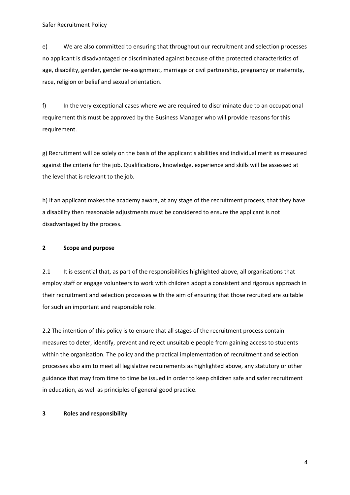e) We are also committed to ensuring that throughout our recruitment and selection processes no applicant is disadvantaged or discriminated against because of the protected characteristics of age, disability, gender, gender re-assignment, marriage or civil partnership, pregnancy or maternity, race, religion or belief and sexual orientation.

f) In the very exceptional cases where we are required to discriminate due to an occupational requirement this must be approved by the Business Manager who will provide reasons for this requirement.

g) Recruitment will be solely on the basis of the applicant's abilities and individual merit as measured against the criteria for the job. Qualifications, knowledge, experience and skills will be assessed at the level that is relevant to the job.

h) If an applicant makes the academy aware, at any stage of the recruitment process, that they have a disability then reasonable adjustments must be considered to ensure the applicant is not disadvantaged by the process.

## **2 Scope and purpose**

2.1 It is essential that, as part of the responsibilities highlighted above, all organisations that employ staff or engage volunteers to work with children adopt a consistent and rigorous approach in their recruitment and selection processes with the aim of ensuring that those recruited are suitable for such an important and responsible role.

2.2 The intention of this policy is to ensure that all stages of the recruitment process contain measures to deter, identify, prevent and reject unsuitable people from gaining access to students within the organisation. The policy and the practical implementation of recruitment and selection processes also aim to meet all legislative requirements as highlighted above, any statutory or other guidance that may from time to time be issued in order to keep children safe and safer recruitment in education, as well as principles of general good practice.

#### **3 Roles and responsibility**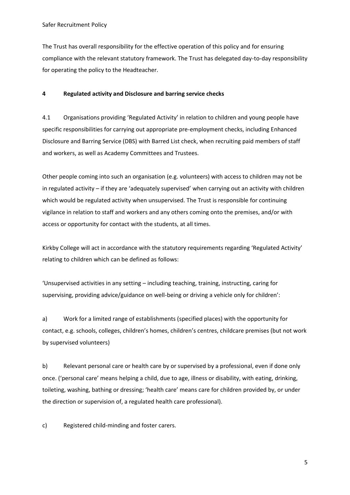The Trust has overall responsibility for the effective operation of this policy and for ensuring compliance with the relevant statutory framework. The Trust has delegated day-to-day responsibility for operating the policy to the Headteacher.

### **4 Regulated activity and Disclosure and barring service checks**

4.1 Organisations providing 'Regulated Activity' in relation to children and young people have specific responsibilities for carrying out appropriate pre-employment checks, including Enhanced Disclosure and Barring Service (DBS) with Barred List check, when recruiting paid members of staff and workers, as well as Academy Committees and Trustees.

Other people coming into such an organisation (e.g. volunteers) with access to children may not be in regulated activity – if they are 'adequately supervised' when carrying out an activity with children which would be regulated activity when unsupervised. The Trust is responsible for continuing vigilance in relation to staff and workers and any others coming onto the premises, and/or with access or opportunity for contact with the students, at all times.

Kirkby College will act in accordance with the statutory requirements regarding 'Regulated Activity' relating to children which can be defined as follows:

'Unsupervised activities in any setting – including teaching, training, instructing, caring for supervising, providing advice/guidance on well-being or driving a vehicle only for children':

a) Work for a limited range of establishments (specified places) with the opportunity for contact, e.g. schools, colleges, children's homes, children's centres, childcare premises (but not work by supervised volunteers)

b) Relevant personal care or health care by or supervised by a professional, even if done only once. ('personal care' means helping a child, due to age, illness or disability, with eating, drinking, toileting, washing, bathing or dressing; 'health care' means care for children provided by, or under the direction or supervision of, a regulated health care professional).

c) Registered child-minding and foster carers.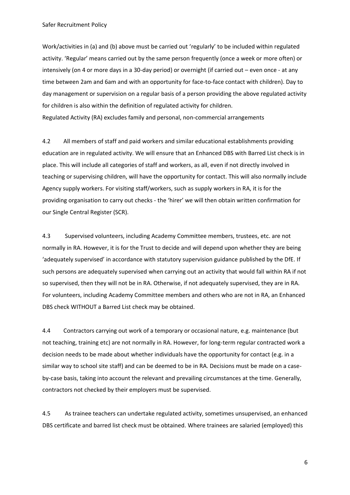Work/activities in (a) and (b) above must be carried out 'regularly' to be included within regulated activity. 'Regular' means carried out by the same person frequently (once a week or more often) or intensively (on 4 or more days in a 30-day period) or overnight (if carried out – even once - at any time between 2am and 6am and with an opportunity for face-to-face contact with children). Day to day management or supervision on a regular basis of a person providing the above regulated activity for children is also within the definition of regulated activity for children.

Regulated Activity (RA) excludes family and personal, non-commercial arrangements

4.2 All members of staff and paid workers and similar educational establishments providing education are in regulated activity. We will ensure that an Enhanced DBS with Barred List check is in place. This will include all categories of staff and workers, as all, even if not directly involved in teaching or supervising children, will have the opportunity for contact. This will also normally include Agency supply workers. For visiting staff/workers, such as supply workers in RA, it is for the providing organisation to carry out checks - the 'hirer' we will then obtain written confirmation for our Single Central Register (SCR).

4.3 Supervised volunteers, including Academy Committee members, trustees, etc. are not normally in RA. However, it is for the Trust to decide and will depend upon whether they are being 'adequately supervised' in accordance with statutory supervision guidance published by the DfE. If such persons are adequately supervised when carrying out an activity that would fall within RA if not so supervised, then they will not be in RA. Otherwise, if not adequately supervised, they are in RA. For volunteers, including Academy Committee members and others who are not in RA, an Enhanced DBS check WITHOUT a Barred List check may be obtained.

4.4 Contractors carrying out work of a temporary or occasional nature, e.g. maintenance (but not teaching, training etc) are not normally in RA. However, for long-term regular contracted work a decision needs to be made about whether individuals have the opportunity for contact (e.g. in a similar way to school site staff) and can be deemed to be in RA. Decisions must be made on a caseby-case basis, taking into account the relevant and prevailing circumstances at the time. Generally, contractors not checked by their employers must be supervised.

4.5 As trainee teachers can undertake regulated activity, sometimes unsupervised, an enhanced DBS certificate and barred list check must be obtained. Where trainees are salaried (employed) this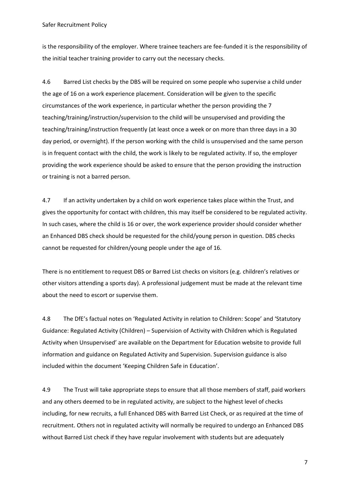is the responsibility of the employer. Where trainee teachers are fee-funded it is the responsibility of the initial teacher training provider to carry out the necessary checks.

4.6 Barred List checks by the DBS will be required on some people who supervise a child under the age of 16 on a work experience placement. Consideration will be given to the specific circumstances of the work experience, in particular whether the person providing the 7 teaching/training/instruction/supervision to the child will be unsupervised and providing the teaching/training/instruction frequently (at least once a week or on more than three days in a 30 day period, or overnight). If the person working with the child is unsupervised and the same person is in frequent contact with the child, the work is likely to be regulated activity. If so, the employer providing the work experience should be asked to ensure that the person providing the instruction or training is not a barred person.

4.7 If an activity undertaken by a child on work experience takes place within the Trust, and gives the opportunity for contact with children, this may itself be considered to be regulated activity. In such cases, where the child is 16 or over, the work experience provider should consider whether an Enhanced DBS check should be requested for the child/young person in question. DBS checks cannot be requested for children/young people under the age of 16.

There is no entitlement to request DBS or Barred List checks on visitors (e.g. children's relatives or other visitors attending a sports day). A professional judgement must be made at the relevant time about the need to escort or supervise them.

4.8 The DfE's factual notes on 'Regulated Activity in relation to Children: Scope' and 'Statutory Guidance: Regulated Activity (Children) – Supervision of Activity with Children which is Regulated Activity when Unsupervised' are available on the Department for Education website to provide full information and guidance on Regulated Activity and Supervision. Supervision guidance is also included within the document 'Keeping Children Safe in Education'.

4.9 The Trust will take appropriate steps to ensure that all those members of staff, paid workers and any others deemed to be in regulated activity, are subject to the highest level of checks including, for new recruits, a full Enhanced DBS with Barred List Check, or as required at the time of recruitment. Others not in regulated activity will normally be required to undergo an Enhanced DBS without Barred List check if they have regular involvement with students but are adequately

7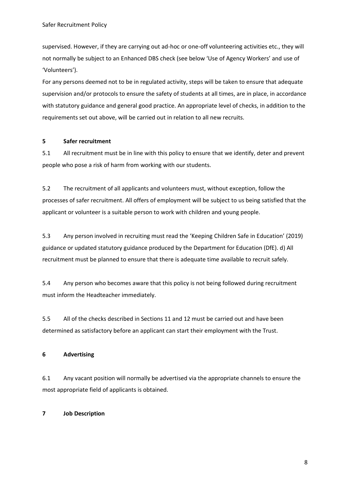supervised. However, if they are carrying out ad-hoc or one-off volunteering activities etc., they will not normally be subject to an Enhanced DBS check (see below 'Use of Agency Workers' and use of 'Volunteers').

For any persons deemed not to be in regulated activity, steps will be taken to ensure that adequate supervision and/or protocols to ensure the safety of students at all times, are in place, in accordance with statutory guidance and general good practice. An appropriate level of checks, in addition to the requirements set out above, will be carried out in relation to all new recruits.

### **5 Safer recruitment**

5.1 All recruitment must be in line with this policy to ensure that we identify, deter and prevent people who pose a risk of harm from working with our students.

5.2 The recruitment of all applicants and volunteers must, without exception, follow the processes of safer recruitment. All offers of employment will be subject to us being satisfied that the applicant or volunteer is a suitable person to work with children and young people.

5.3 Any person involved in recruiting must read the 'Keeping Children Safe in Education' (2019) guidance or updated statutory guidance produced by the Department for Education (DfE). d) All recruitment must be planned to ensure that there is adequate time available to recruit safely.

5.4 Any person who becomes aware that this policy is not being followed during recruitment must inform the Headteacher immediately.

5.5 All of the checks described in Sections 11 and 12 must be carried out and have been determined as satisfactory before an applicant can start their employment with the Trust.

## **6 Advertising**

6.1 Any vacant position will normally be advertised via the appropriate channels to ensure the most appropriate field of applicants is obtained.

## **7 Job Description**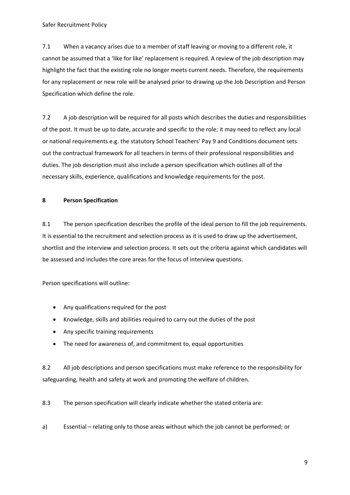7.1 When a vacancy arises due to a member of staff leaving or moving to a different role, it cannot be assumed that a 'like for like' replacement is required. A review of the job description may highlight the fact that the existing role no longer meets current needs. Therefore, the requirements for any replacement or new role will be analysed prior to drawing up the Job Description and Person Specification which define the role.

7.2 A job description will be required for all posts which describes the duties and responsibilities of the post. It must be up to date, accurate and specific to the role; it may need to reflect any local or national requirements e.g. the statutory School Teachers' Pay 9 and Conditions document sets out the contractual framework for all teachers in terms of their professional responsibilities and duties. The job description must also include a person specification which outlines all of the necessary skills, experience, qualifications and knowledge requirements for the post.

### **8 Person Specification**

8.1 The person specification describes the profile of the ideal person to fill the job requirements. It is essential to the recruitment and selection process as it is used to draw up the advertisement, shortlist and the interview and selection process. It sets out the criteria against which candidates will be assessed and includes the core areas for the focus of interview questions.

Person specifications will outline:

- Any qualifications required for the post
- Knowledge, skills and abilities required to carry out the duties of the post
- Any specific training requirements
- The need for awareness of, and commitment to, equal opportunities

8.2 All job descriptions and person specifications must make reference to the responsibility for safeguarding, health and safety at work and promoting the welfare of children.

8.3 The person specification will clearly indicate whether the stated criteria are:

a) Essential – relating only to those areas without which the job cannot be performed; or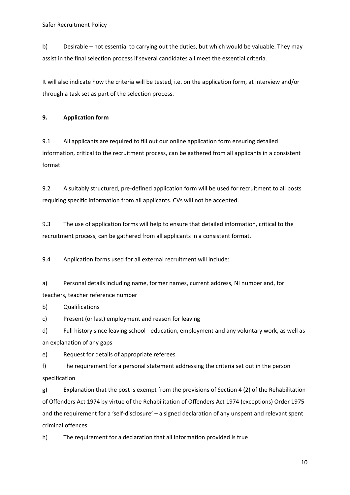b) Desirable – not essential to carrying out the duties, but which would be valuable. They may assist in the final selection process if several candidates all meet the essential criteria.

It will also indicate how the criteria will be tested, i.e. on the application form, at interview and/or through a task set as part of the selection process.

**9. Application form** 

9.1 All applicants are required to fill out our online application form ensuring detailed information, critical to the recruitment process, can be gathered from all applicants in a consistent format.

9.2 A suitably structured, pre-defined application form will be used for recruitment to all posts requiring specific information from all applicants. CVs will not be accepted.

9.3 The use of application forms will help to ensure that detailed information, critical to the recruitment process, can be gathered from all applicants in a consistent format.

9.4 Application forms used for all external recruitment will include:

a) Personal details including name, former names, current address, NI number and, for teachers, teacher reference number

b) Qualifications

c) Present (or last) employment and reason for leaving

d) Full history since leaving school - education, employment and any voluntary work, as well as an explanation of any gaps

e) Request for details of appropriate referees

f) The requirement for a personal statement addressing the criteria set out in the person specification

g) Explanation that the post is exempt from the provisions of Section 4 (2) of the Rehabilitation of Offenders Act 1974 by virtue of the Rehabilitation of Offenders Act 1974 (exceptions) Order 1975 and the requirement for a 'self-disclosure' – a signed declaration of any unspent and relevant spent criminal offences

h) The requirement for a declaration that all information provided is true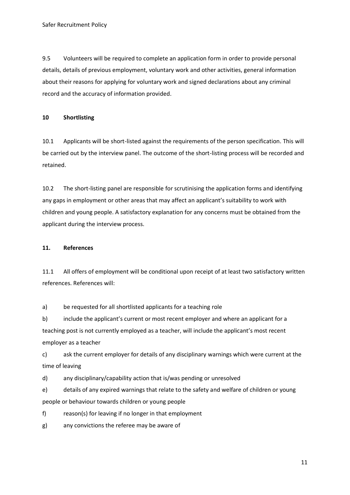9.5 Volunteers will be required to complete an application form in order to provide personal details, details of previous employment, voluntary work and other activities, general information about their reasons for applying for voluntary work and signed declarations about any criminal record and the accuracy of information provided.

## **10 Shortlisting**

10.1 Applicants will be short-listed against the requirements of the person specification. This will be carried out by the interview panel. The outcome of the short-listing process will be recorded and retained.

10.2 The short-listing panel are responsible for scrutinising the application forms and identifying any gaps in employment or other areas that may affect an applicant's suitability to work with children and young people. A satisfactory explanation for any concerns must be obtained from the applicant during the interview process.

## **11. References**

11.1 All offers of employment will be conditional upon receipt of at least two satisfactory written references. References will:

a) be requested for all shortlisted applicants for a teaching role

b) include the applicant's current or most recent employer and where an applicant for a teaching post is not currently employed as a teacher, will include the applicant's most recent employer as a teacher

c) ask the current employer for details of any disciplinary warnings which were current at the time of leaving

d) any disciplinary/capability action that is/was pending or unresolved

e) details of any expired warnings that relate to the safety and welfare of children or young people or behaviour towards children or young people

f) reason(s) for leaving if no longer in that employment

g) any convictions the referee may be aware of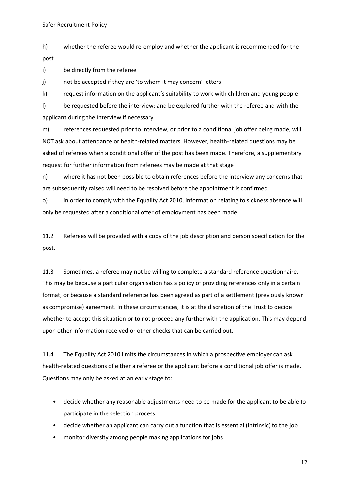h) whether the referee would re-employ and whether the applicant is recommended for the post

i) be directly from the referee

j) not be accepted if they are 'to whom it may concern' letters

k) request information on the applicant's suitability to work with children and young people

l) be requested before the interview; and be explored further with the referee and with the applicant during the interview if necessary

m) references requested prior to interview, or prior to a conditional job offer being made, will NOT ask about attendance or health-related matters. However, health-related questions may be asked of referees when a conditional offer of the post has been made. Therefore, a supplementary request for further information from referees may be made at that stage

n) where it has not been possible to obtain references before the interview any concerns that are subsequently raised will need to be resolved before the appointment is confirmed

o) in order to comply with the Equality Act 2010, information relating to sickness absence will only be requested after a conditional offer of employment has been made

11.2 Referees will be provided with a copy of the job description and person specification for the post.

11.3 Sometimes, a referee may not be willing to complete a standard reference questionnaire. This may be because a particular organisation has a policy of providing references only in a certain format, or because a standard reference has been agreed as part of a settlement (previously known as compromise) agreement. In these circumstances, it is at the discretion of the Trust to decide whether to accept this situation or to not proceed any further with the application. This may depend upon other information received or other checks that can be carried out.

11.4 The Equality Act 2010 limits the circumstances in which a prospective employer can ask health-related questions of either a referee or the applicant before a conditional job offer is made. Questions may only be asked at an early stage to:

- decide whether any reasonable adjustments need to be made for the applicant to be able to participate in the selection process
- decide whether an applicant can carry out a function that is essential (intrinsic) to the job
- monitor diversity among people making applications for jobs

12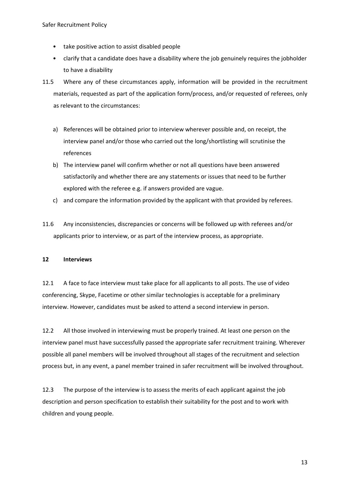- take positive action to assist disabled people
- clarify that a candidate does have a disability where the job genuinely requires the jobholder to have a disability
- 11.5 Where any of these circumstances apply, information will be provided in the recruitment materials, requested as part of the application form/process, and/or requested of referees, only as relevant to the circumstances:
	- a) References will be obtained prior to interview wherever possible and, on receipt, the interview panel and/or those who carried out the long/shortlisting will scrutinise the references
	- b) The interview panel will confirm whether or not all questions have been answered satisfactorily and whether there are any statements or issues that need to be further explored with the referee e.g. if answers provided are vague.
	- c) and compare the information provided by the applicant with that provided by referees.
- 11.6 Any inconsistencies, discrepancies or concerns will be followed up with referees and/or applicants prior to interview, or as part of the interview process, as appropriate.

#### **12 Interviews**

12.1 A face to face interview must take place for all applicants to all posts. The use of video conferencing, Skype, Facetime or other similar technologies is acceptable for a preliminary interview. However, candidates must be asked to attend a second interview in person.

12.2 All those involved in interviewing must be properly trained. At least one person on the interview panel must have successfully passed the appropriate safer recruitment training. Wherever possible all panel members will be involved throughout all stages of the recruitment and selection process but, in any event, a panel member trained in safer recruitment will be involved throughout.

12.3 The purpose of the interview is to assess the merits of each applicant against the job description and person specification to establish their suitability for the post and to work with children and young people.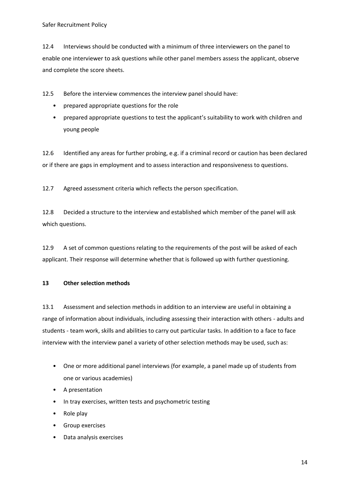12.4 Interviews should be conducted with a minimum of three interviewers on the panel to enable one interviewer to ask questions while other panel members assess the applicant, observe and complete the score sheets.

12.5 Before the interview commences the interview panel should have:

- prepared appropriate questions for the role
- prepared appropriate questions to test the applicant's suitability to work with children and young people

12.6 Identified any areas for further probing, e.g. if a criminal record or caution has been declared or if there are gaps in employment and to assess interaction and responsiveness to questions.

12.7 Agreed assessment criteria which reflects the person specification.

12.8 Decided a structure to the interview and established which member of the panel will ask which questions.

12.9 A set of common questions relating to the requirements of the post will be asked of each applicant. Their response will determine whether that is followed up with further questioning.

#### **13 Other selection methods**

13.1 Assessment and selection methods in addition to an interview are useful in obtaining a range of information about individuals, including assessing their interaction with others - adults and students - team work, skills and abilities to carry out particular tasks. In addition to a face to face interview with the interview panel a variety of other selection methods may be used, such as:

- One or more additional panel interviews (for example, a panel made up of students from one or various academies)
- A presentation
- In tray exercises, written tests and psychometric testing
- Role play
- Group exercises
- Data analysis exercises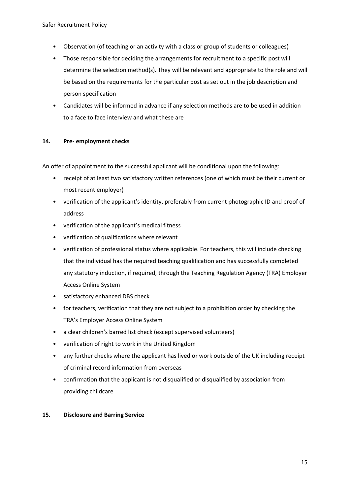- Observation (of teaching or an activity with a class or group of students or colleagues)
- Those responsible for deciding the arrangements for recruitment to a specific post will determine the selection method(s). They will be relevant and appropriate to the role and will be based on the requirements for the particular post as set out in the job description and person specification
- Candidates will be informed in advance if any selection methods are to be used in addition to a face to face interview and what these are

### **14. Pre- employment checks**

An offer of appointment to the successful applicant will be conditional upon the following:

- receipt of at least two satisfactory written references (one of which must be their current or most recent employer)
- verification of the applicant's identity, preferably from current photographic ID and proof of address
- verification of the applicant's medical fitness
- verification of qualifications where relevant
- verification of professional status where applicable. For teachers, this will include checking that the individual has the required teaching qualification and has successfully completed any statutory induction, if required, through the Teaching Regulation Agency (TRA) Employer Access Online System
- satisfactory enhanced DBS check
- for teachers, verification that they are not subject to a prohibition order by checking the TRA's Employer Access Online System
- a clear children's barred list check (except supervised volunteers)
- verification of right to work in the United Kingdom
- any further checks where the applicant has lived or work outside of the UK including receipt of criminal record information from overseas
- confirmation that the applicant is not disqualified or disqualified by association from providing childcare

## **15. Disclosure and Barring Service**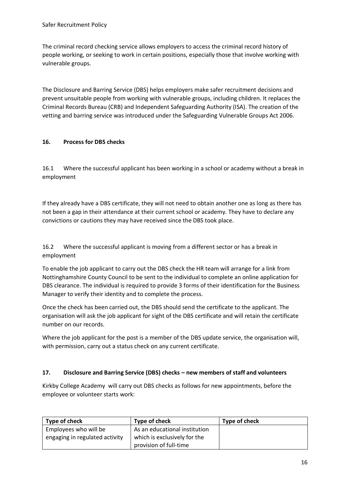The criminal record checking service allows employers to access the criminal record history of people working, or seeking to work in certain positions, especially those that involve working with vulnerable groups.

The Disclosure and Barring Service (DBS) helps employers make safer recruitment decisions and prevent unsuitable people from working with vulnerable groups, including children. It replaces the Criminal Records Bureau (CRB) and Independent Safeguarding Authority (ISA). The creation of the vetting and barring service was introduced under the Safeguarding Vulnerable Groups Act 2006.

## **16. Process for DBS checks**

16.1 Where the successful applicant has been working in a school or academy without a break in employment

If they already have a DBS certificate, they will not need to obtain another one as long as there has not been a gap in their attendance at their current school or academy. They have to declare any convictions or cautions they may have received since the DBS took place.

16.2 Where the successful applicant is moving from a different sector or has a break in employment

To enable the job applicant to carry out the DBS check the HR team will arrange for a link from Nottinghamshire County Council to be sent to the individual to complete an online application for DBS clearance. The individual is required to provide 3 forms of their identification for the Business Manager to verify their identity and to complete the process.

Once the check has been carried out, the DBS should send the certificate to the applicant. The organisation will ask the job applicant for sight of the DBS certificate and will retain the certificate number on our records.

Where the job applicant for the post is a member of the DBS update service, the organisation will, with permission, carry out a status check on any current certificate.

## **17. Disclosure and Barring Service (DBS) checks – new members of staff and volunteers**

Kirkby College Academy will carry out DBS checks as follows for new appointments, before the employee or volunteer starts work:

| Type of check                  | Type of check                 | Type of check |
|--------------------------------|-------------------------------|---------------|
| Employees who will be          | As an educational institution |               |
| engaging in regulated activity | which is exclusively for the  |               |
|                                | provision of full-time        |               |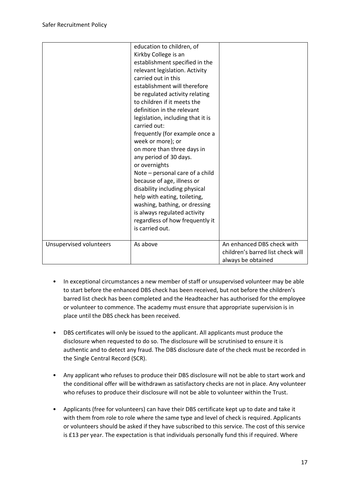|                         | on more than three days in<br>any period of 30 days.<br>or overnights<br>Note - personal care of a child<br>because of age, illness or<br>disability including physical<br>help with eating, toileting, |                                                                                       |
|-------------------------|---------------------------------------------------------------------------------------------------------------------------------------------------------------------------------------------------------|---------------------------------------------------------------------------------------|
|                         | washing, bathing, or dressing<br>is always regulated activity<br>regardless of how frequently it<br>is carried out.                                                                                     |                                                                                       |
| Unsupervised volunteers | As above                                                                                                                                                                                                | An enhanced DBS check with<br>children's barred list check will<br>always be obtained |

- In exceptional circumstances a new member of staff or unsupervised volunteer may be able to start before the enhanced DBS check has been received, but not before the children's barred list check has been completed and the Headteacher has authorised for the employee or volunteer to commence. The academy must ensure that appropriate supervision is in place until the DBS check has been received.
- DBS certificates will only be issued to the applicant. All applicants must produce the disclosure when requested to do so. The disclosure will be scrutinised to ensure it is authentic and to detect any fraud. The DBS disclosure date of the check must be recorded in the Single Central Record (SCR).
- Any applicant who refuses to produce their DBS disclosure will not be able to start work and the conditional offer will be withdrawn as satisfactory checks are not in place. Any volunteer who refuses to produce their disclosure will not be able to volunteer within the Trust.
- Applicants (free for volunteers) can have their DBS certificate kept up to date and take it with them from role to role where the same type and level of check is required. Applicants or volunteers should be asked if they have subscribed to this service. The cost of this service is £13 per year. The expectation is that individuals personally fund this if required. Where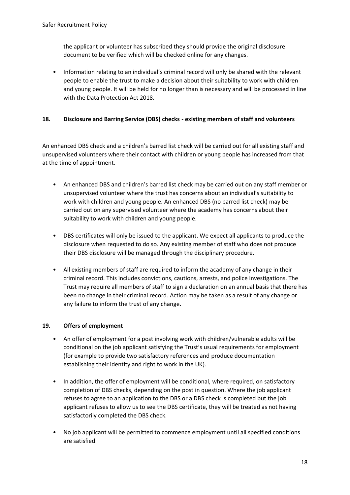the applicant or volunteer has subscribed they should provide the original disclosure document to be verified which will be checked online for any changes.

• Information relating to an individual's criminal record will only be shared with the relevant people to enable the trust to make a decision about their suitability to work with children and young people. It will be held for no longer than is necessary and will be processed in line with the Data Protection Act 2018.

## **18. Disclosure and Barring Service (DBS) checks - existing members of staff and volunteers**

An enhanced DBS check and a children's barred list check will be carried out for all existing staff and unsupervised volunteers where their contact with children or young people has increased from that at the time of appointment.

- An enhanced DBS and children's barred list check may be carried out on any staff member or unsupervised volunteer where the trust has concerns about an individual's suitability to work with children and young people. An enhanced DBS (no barred list check) may be carried out on any supervised volunteer where the academy has concerns about their suitability to work with children and young people.
- DBS certificates will only be issued to the applicant. We expect all applicants to produce the disclosure when requested to do so. Any existing member of staff who does not produce their DBS disclosure will be managed through the disciplinary procedure.
- All existing members of staff are required to inform the academy of any change in their criminal record. This includes convictions, cautions, arrests, and police investigations. The Trust may require all members of staff to sign a declaration on an annual basis that there has been no change in their criminal record. Action may be taken as a result of any change or any failure to inform the trust of any change.

## **19. Offers of employment**

- An offer of employment for a post involving work with children/vulnerable adults will be conditional on the job applicant satisfying the Trust's usual requirements for employment (for example to provide two satisfactory references and produce documentation establishing their identity and right to work in the UK).
- In addition, the offer of employment will be conditional, where required, on satisfactory completion of DBS checks, depending on the post in question. Where the job applicant refuses to agree to an application to the DBS or a DBS check is completed but the job applicant refuses to allow us to see the DBS certificate, they will be treated as not having satisfactorily completed the DBS check.
- No job applicant will be permitted to commence employment until all specified conditions are satisfied.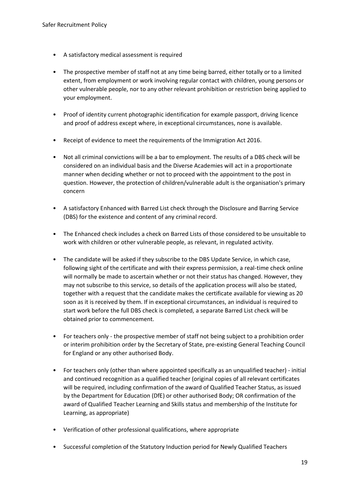- A satisfactory medical assessment is required
- The prospective member of staff not at any time being barred, either totally or to a limited extent, from employment or work involving regular contact with children, young persons or other vulnerable people, nor to any other relevant prohibition or restriction being applied to your employment.
- Proof of identity current photographic identification for example passport, driving licence and proof of address except where, in exceptional circumstances, none is available.
- Receipt of evidence to meet the requirements of the Immigration Act 2016.
- Not all criminal convictions will be a bar to employment. The results of a DBS check will be considered on an individual basis and the Diverse Academies will act in a proportionate manner when deciding whether or not to proceed with the appointment to the post in question. However, the protection of children/vulnerable adult is the organisation's primary concern
- A satisfactory Enhanced with Barred List check through the Disclosure and Barring Service (DBS) for the existence and content of any criminal record.
- The Enhanced check includes a check on Barred Lists of those considered to be unsuitable to work with children or other vulnerable people, as relevant, in regulated activity.
- The candidate will be asked if they subscribe to the DBS Update Service, in which case, following sight of the certificate and with their express permission, a real-time check online will normally be made to ascertain whether or not their status has changed. However, they may not subscribe to this service, so details of the application process will also be stated, together with a request that the candidate makes the certificate available for viewing as 20 soon as it is received by them. If in exceptional circumstances, an individual is required to start work before the full DBS check is completed, a separate Barred List check will be obtained prior to commencement.
- For teachers only the prospective member of staff not being subject to a prohibition order or interim prohibition order by the Secretary of State, pre-existing General Teaching Council for England or any other authorised Body.
- For teachers only (other than where appointed specifically as an unqualified teacher) initial and continued recognition as a qualified teacher (original copies of all relevant certificates will be required, including confirmation of the award of Qualified Teacher Status, as issued by the Department for Education (DfE) or other authorised Body; OR confirmation of the award of Qualified Teacher Learning and Skills status and membership of the Institute for Learning, as appropriate)
- Verification of other professional qualifications, where appropriate
- Successful completion of the Statutory Induction period for Newly Qualified Teachers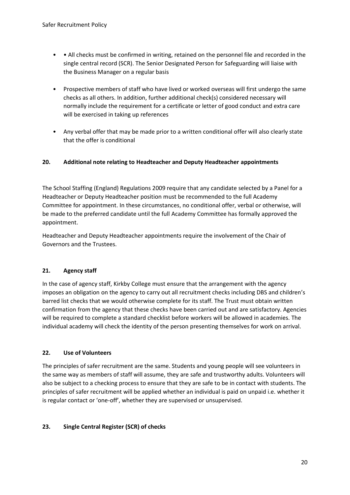- • All checks must be confirmed in writing, retained on the personnel file and recorded in the single central record (SCR). The Senior Designated Person for Safeguarding will liaise with the Business Manager on a regular basis
- Prospective members of staff who have lived or worked overseas will first undergo the same checks as all others. In addition, further additional check(s) considered necessary will normally include the requirement for a certificate or letter of good conduct and extra care will be exercised in taking up references
- Any verbal offer that may be made prior to a written conditional offer will also clearly state that the offer is conditional

## **20. Additional note relating to Headteacher and Deputy Headteacher appointments**

The School Staffing (England) Regulations 2009 require that any candidate selected by a Panel for a Headteacher or Deputy Headteacher position must be recommended to the full Academy Committee for appointment. In these circumstances, no conditional offer, verbal or otherwise, will be made to the preferred candidate until the full Academy Committee has formally approved the appointment.

Headteacher and Deputy Headteacher appointments require the involvement of the Chair of Governors and the Trustees.

## **21. Agency staff**

In the case of agency staff, Kirkby College must ensure that the arrangement with the agency imposes an obligation on the agency to carry out all recruitment checks including DBS and children's barred list checks that we would otherwise complete for its staff. The Trust must obtain written confirmation from the agency that these checks have been carried out and are satisfactory. Agencies will be required to complete a standard checklist before workers will be allowed in academies. The individual academy will check the identity of the person presenting themselves for work on arrival.

## **22. Use of Volunteers**

The principles of safer recruitment are the same. Students and young people will see volunteers in the same way as members of staff will assume, they are safe and trustworthy adults. Volunteers will also be subject to a checking process to ensure that they are safe to be in contact with students. The principles of safer recruitment will be applied whether an individual is paid on unpaid i.e. whether it is regular contact or 'one-off', whether they are supervised or unsupervised.

## **23. Single Central Register (SCR) of checks**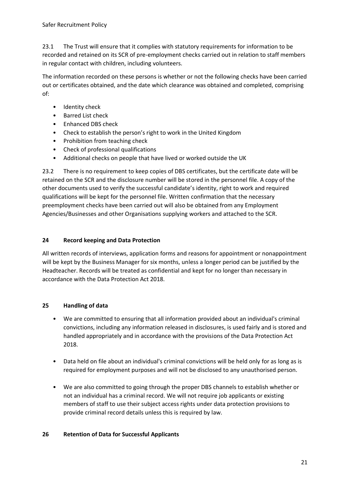23.1 The Trust will ensure that it complies with statutory requirements for information to be recorded and retained on its SCR of pre-employment checks carried out in relation to staff members in regular contact with children, including volunteers.

The information recorded on these persons is whether or not the following checks have been carried out or certificates obtained, and the date which clearance was obtained and completed, comprising of:

- Identity check
- Barred List check
- Enhanced DBS check
- Check to establish the person's right to work in the United Kingdom
- Prohibition from teaching check
- Check of professional qualifications
- Additional checks on people that have lived or worked outside the UK

23.2 There is no requirement to keep copies of DBS certificates, but the certificate date will be retained on the SCR and the disclosure number will be stored in the personnel file. A copy of the other documents used to verify the successful candidate's identity, right to work and required qualifications will be kept for the personnel file. Written confirmation that the necessary preemployment checks have been carried out will also be obtained from any Employment Agencies/Businesses and other Organisations supplying workers and attached to the SCR.

## **24 Record keeping and Data Protection**

All written records of interviews, application forms and reasons for appointment or nonappointment will be kept by the Business Manager for six months, unless a longer period can be justified by the Headteacher. Records will be treated as confidential and kept for no longer than necessary in accordance with the Data Protection Act 2018.

## **25 Handling of data**

- We are committed to ensuring that all information provided about an individual's criminal convictions, including any information released in disclosures, is used fairly and is stored and handled appropriately and in accordance with the provisions of the Data Protection Act 2018.
- Data held on file about an individual's criminal convictions will be held only for as long as is required for employment purposes and will not be disclosed to any unauthorised person.
- We are also committed to going through the proper DBS channels to establish whether or not an individual has a criminal record. We will not require job applicants or existing members of staff to use their subject access rights under data protection provisions to provide criminal record details unless this is required by law.

## **26 Retention of Data for Successful Applicants**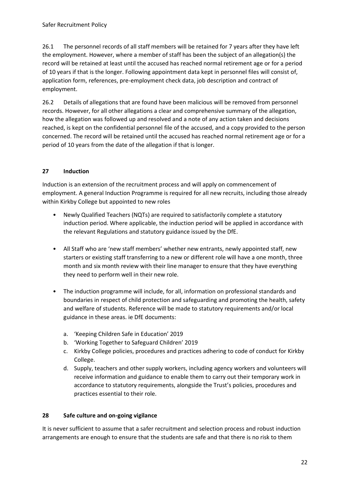26.1 The personnel records of all staff members will be retained for 7 years after they have left the employment. However, where a member of staff has been the subject of an allegation(s) the record will be retained at least until the accused has reached normal retirement age or for a period of 10 years if that is the longer. Following appointment data kept in personnel files will consist of, application form, references, pre-employment check data, job description and contract of employment.

26.2 Details of allegations that are found have been malicious will be removed from personnel records. However, for all other allegations a clear and comprehensive summary of the allegation, how the allegation was followed up and resolved and a note of any action taken and decisions reached, is kept on the confidential personnel file of the accused, and a copy provided to the person concerned. The record will be retained until the accused has reached normal retirement age or for a period of 10 years from the date of the allegation if that is longer.

## **27 Induction**

Induction is an extension of the recruitment process and will apply on commencement of employment. A general Induction Programme is required for all new recruits, including those already within Kirkby College but appointed to new roles

- Newly Qualified Teachers (NQTs) are required to satisfactorily complete a statutory induction period. Where applicable, the induction period will be applied in accordance with the relevant Regulations and statutory guidance issued by the DfE.
- All Staff who are 'new staff members' whether new entrants, newly appointed staff, new starters or existing staff transferring to a new or different role will have a one month, three month and six month review with their line manager to ensure that they have everything they need to perform well in their new role.
- The induction programme will include, for all, information on professional standards and boundaries in respect of child protection and safeguarding and promoting the health, safety and welfare of students. Reference will be made to statutory requirements and/or local guidance in these areas. ie DfE documents:
	- a. 'Keeping Children Safe in Education' 2019
	- b. 'Working Together to Safeguard Children' 2019
	- c. Kirkby College policies, procedures and practices adhering to code of conduct for Kirkby College.
	- d. Supply, teachers and other supply workers, including agency workers and volunteers will receive information and guidance to enable them to carry out their temporary work in accordance to statutory requirements, alongside the Trust's policies, procedures and practices essential to their role.

## **28 Safe culture and on-going vigilance**

It is never sufficient to assume that a safer recruitment and selection process and robust induction arrangements are enough to ensure that the students are safe and that there is no risk to them